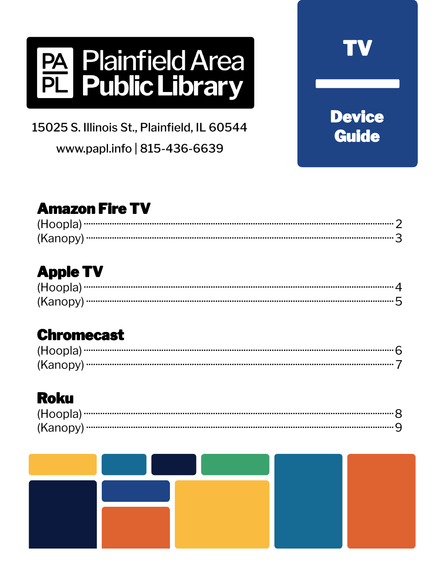# **PA Plainfield Area<br>PL Public Library**

15025 S. Illinois St., Plainfield, IL 60544 www.papl.info | 815-436-6639

## **Amazon Fire TV**

**Device** 

**Guide** 

## **Apple TV**

### **Chromecast**

## **Roku**

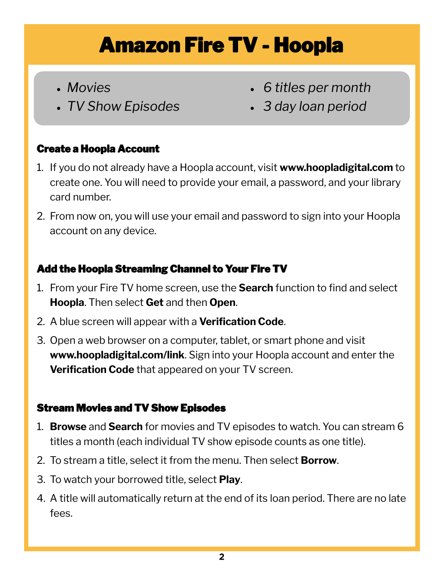## Amazon Fire TV - Hoopla

- *Movies*
- *TV Show Episodes*
- *6 titles per month*
- *3 day loan period*

#### Create a Hoopla Account

- 1. If you do not already have a Hoopla account, visit **www.hoopladigital.com** to create one. You will need to provide your email, a password, and your library card number.
- 2. From now on, you will use your email and password to sign into your Hoopla account on any device.

#### Add the Hoopla Streaming Channel to Your Fire TV

- 1. From your Fire TV home screen, use the **Search** function to find and select **Hoopla**. Then select **Get** and then **Open**.
- 2. A blue screen will appear with a **Verification Code**.
- 3. Open a web browser on a computer, tablet, or smart phone and visit **www.hoopladigital.com/link**. Sign into your Hoopla account and enter the **Verification Code** that appeared on your TV screen.

#### Stream Movies and TV Show Episodes

- 1. **Browse** and **Search** for movies and TV episodes to watch. You can stream 6 titles a month (each individual TV show episode counts as one title).
- 2. To stream a title, select it from the menu. Then select **Borrow**.
- 3. To watch your borrowed title, select **Play**.
- 4. A title will automatically return at the end of its loan period. There are no late fees.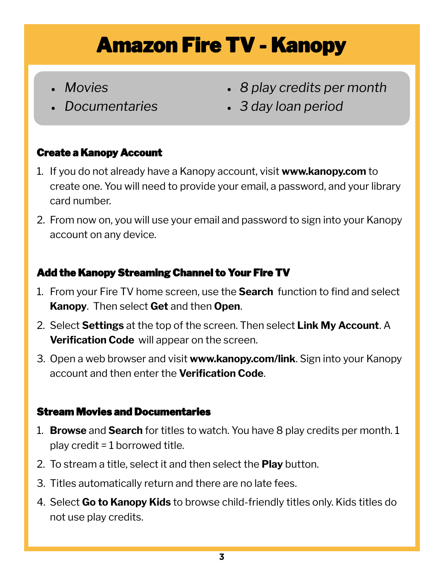## Amazon Fire TV - Kanopy

- *Movies*
- *Documentaries*
- *8 play credits per month*
- *3 day loan period*

#### Create a Kanopy Account

- 1. If you do not already have a Kanopy account, visit **www.kanopy.com** to create one. You will need to provide your email, a password, and your library card number.
- 2. From now on, you will use your email and password to sign into your Kanopy account on any device.

#### Add the Kanopy Streaming Channel to Your Fire TV

- 1. From your Fire TV home screen, use the **Search** function to find and select **Kanopy**. Then select **Get** and then **Open**.
- 2. Select **Settings** at the top of the screen. Then select **Link My Account**. A **Verification Code** will appear on the screen.
- 3. Open a web browser and visit **www.kanopy.com/link**. Sign into your Kanopy account and then enter the **Verification Code**.

- 1. **Browse** and **Search** for titles to watch. You have 8 play credits per month. 1 play credit = 1 borrowed title.
- 2. To stream a title, select it and then select the **Play** button.
- 3. Titles automatically return and there are no late fees.
- 4. Select **Go to Kanopy Kids** to browse child-friendly titles only. Kids titles do not use play credits.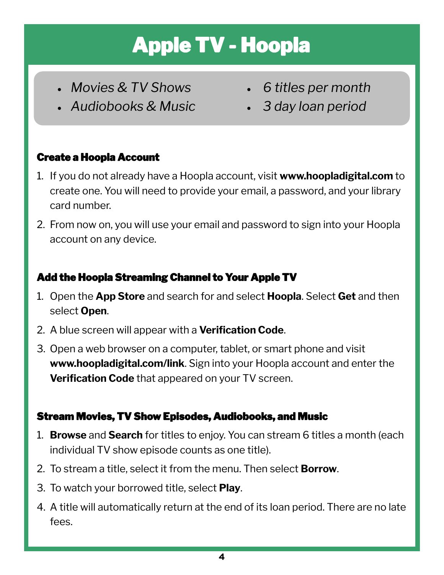# Apple TV - Hoopla

- *Movies & TV Shows*
- *Audiobooks & Music*
- *6 titles per month*
- *3 day loan period*

#### Create a Hoopla Account

- 1. If you do not already have a Hoopla account, visit **www.hoopladigital.com** to create one. You will need to provide your email, a password, and your library card number.
- 2. From now on, you will use your email and password to sign into your Hoopla account on any device.

#### Add the Hoopla Streaming Channel to Your Apple TV

- 1. Open the **App Store** and search for and select **Hoopla**. Select **Get** and then select **Open**.
- 2. A blue screen will appear with a **Verification Code**.
- 3. Open a web browser on a computer, tablet, or smart phone and visit **www.hoopladigital.com/link**. Sign into your Hoopla account and enter the **Verification Code** that appeared on your TV screen.

#### Stream Movies, TV Show Episodes, Audiobooks, and Music

- 1. **Browse** and **Search** for titles to enjoy. You can stream 6 titles a month (each individual TV show episode counts as one title).
- 2. To stream a title, select it from the menu. Then select **Borrow**.
- 3. To watch your borrowed title, select **Play**.
- 4. A title will automatically return at the end of its loan period. There are no late fees.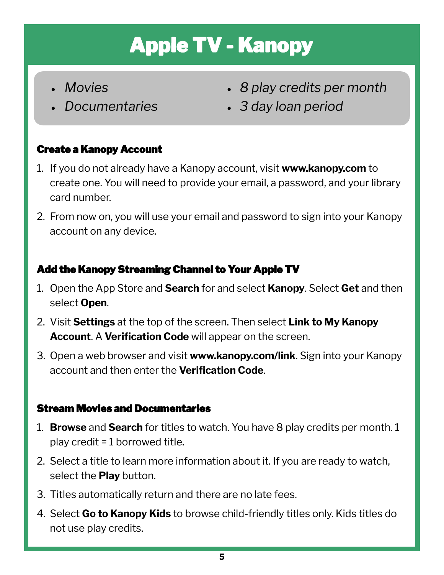# Apple TV - Kanopy

- *Movies*
- *Documentaries*
- *8 play credits per month*
- *3 day loan period*

#### Create a Kanopy Account

- 1. If you do not already have a Kanopy account, visit **www.kanopy.com** to create one. You will need to provide your email, a password, and your library card number.
- 2. From now on, you will use your email and password to sign into your Kanopy account on any device.

#### Add the Kanopy Streaming Channel to Your Apple TV

- 1. Open the App Store and **Search** for and select **Kanopy**. Select **Get** and then select **Open**.
- 2. Visit **Settings** at the top of the screen. Then select **Link to My Kanopy Account**. A **Verification Code** will appear on the screen.
- 3. Open a web browser and visit **www.kanopy.com/link**. Sign into your Kanopy account and then enter the **Verification Code**.

- 1. **Browse** and **Search** for titles to watch. You have 8 play credits per month. 1 play credit = 1 borrowed title.
- 2. Select a title to learn more information about it. If you are ready to watch, select the **Play** button.
- 3. Titles automatically return and there are no late fees.
- 4. Select **Go to Kanopy Kids** to browse child-friendly titles only. Kids titles do not use play credits.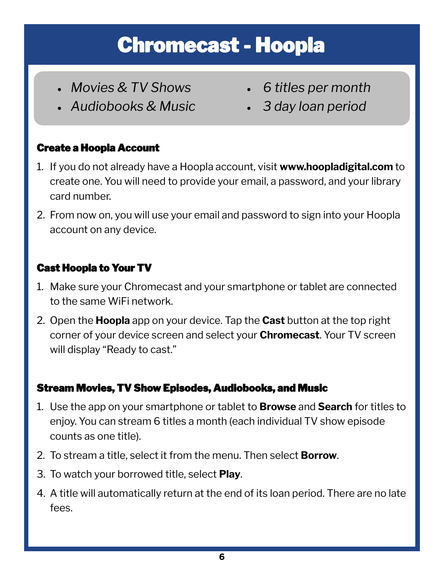## Chromecast - Hoopla

- *Movies & TV Shows*
- *Audiobooks & Music*
- *6 titles per month*
- *3 day loan period*

#### Create a Hoopla Account

- 1. If you do not already have a Hoopla account, visit **www.hoopladigital.com** to create one. You will need to provide your email, a password, and your library card number.
- 2. From now on, you will use your email and password to sign into your Hoopla account on any device.

#### Cast Hoopla to Your TV

- 1. Make sure your Chromecast and your smartphone or tablet are connected to the same WiFi network.
- 2. Open the **Hoopla** app on your device. Tap the **Cast** button at the top right corner of your device screen and select your **Chromecast**. Your TV screen will display "Ready to cast."

#### Stream Movies, TV Show Episodes, Audiobooks, and Music

- 1. Use the app on your smartphone or tablet to **Browse** and **Search** for titles to enjoy. You can stream 6 titles a month (each individual TV show episode counts as one title).
- 2. To stream a title, select it from the menu. Then select **Borrow**.
- 3. To watch your borrowed title, select **Play**.
- 4. A title will automatically return at the end of its loan period. There are no late fees.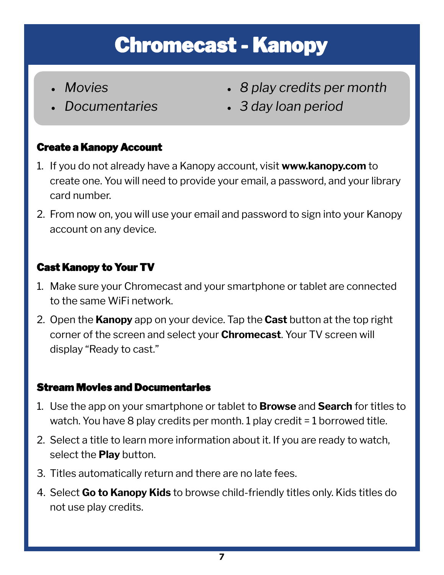## Chromecast - Kanopy

- *Movies*
- *Documentaries*
- *8 play credits per month*
- *3 day loan period*

#### Create a Kanopy Account

- 1. If you do not already have a Kanopy account, visit **www.kanopy.com** to create one. You will need to provide your email, a password, and your library card number.
- 2. From now on, you will use your email and password to sign into your Kanopy account on any device.

#### Cast Kanopy to Your TV

- 1. Make sure your Chromecast and your smartphone or tablet are connected to the same WiFi network.
- 2. Open the **Kanopy** app on your device. Tap the **Cast** button at the top right corner of the screen and select your **Chromecast**. Your TV screen will display "Ready to cast."

- 1. Use the app on your smartphone or tablet to **Browse** and **Search** for titles to watch. You have 8 play credits per month. 1 play credit = 1 borrowed title.
- 2. Select a title to learn more information about it. If you are ready to watch, select the **Play** button.
- 3. Titles automatically return and there are no late fees.
- 4. Select **Go to Kanopy Kids** to browse child-friendly titles only. Kids titles do not use play credits.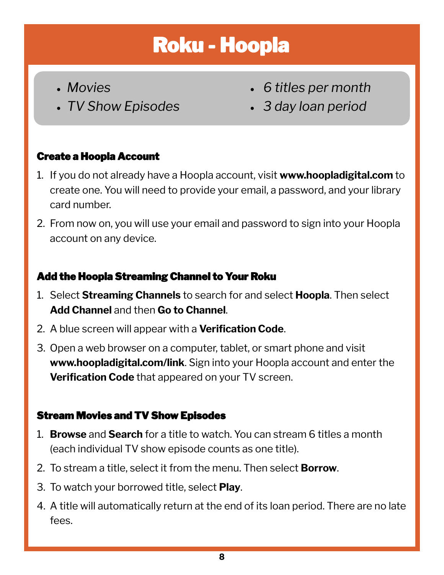## Roku - Hoopla

- *Movies*
- *TV Show Episodes*
- *6 titles per month*
- *3 day loan period*

#### Create a Hoopla Account

- 1. If you do not already have a Hoopla account, visit **www.hoopladigital.com** to create one. You will need to provide your email, a password, and your library card number.
- 2. From now on, you will use your email and password to sign into your Hoopla account on any device.

#### Add the Hoopla Streaming Channel to Your Roku

- 1. Select **Streaming Channels** to search for and select **Hoopla**. Then select **Add Channel** and then **Go to Channel**.
- 2. A blue screen will appear with a **Verification Code**.
- 3. Open a web browser on a computer, tablet, or smart phone and visit **www.hoopladigital.com/link**. Sign into your Hoopla account and enter the **Verification Code** that appeared on your TV screen.

#### Stream Movies and TV Show Episodes

- 1. **Browse** and **Search** for a title to watch. You can stream 6 titles a month (each individual TV show episode counts as one title).
- 2. To stream a title, select it from the menu. Then select **Borrow**.
- 3. To watch your borrowed title, select **Play**.
- 4. A title will automatically return at the end of its loan period. There are no late fees.